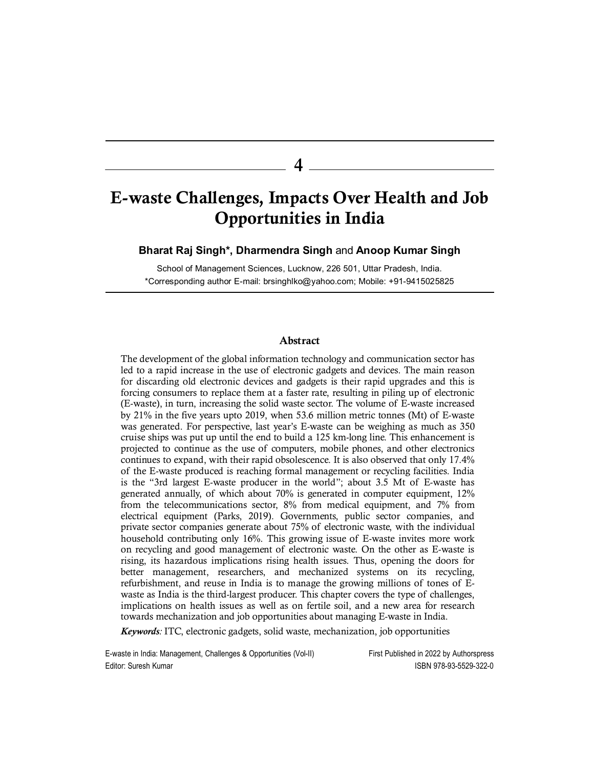4

# E-waste Challenges, Impacts Over Health and Job Opportunities in India

Bharat Raj Singh\*, Dharmendra Singh and Anoop Kumar Singh

School of Management Sciences, Lucknow, 226 501, Uttar Pradesh, India. \*Corresponding author E-mail: brsinghlko@yahoo.com; Mobile: +91-9415025825

# Abstract

The development of the global information technology and communication sector has led to a rapid increase in the use of electronic gadgets and devices. The main reason for discarding old electronic devices and gadgets is their rapid upgrades and this is forcing consumers to replace them at a faster rate, resulting in piling up of electronic (E-waste), in turn, increasing the solid waste sector. The volume of E-waste increased by 21% in the five years upto 2019, when 53.6 million metric tonnes (Mt) of E-waste was generated. For perspective, last year's E-waste can be weighing as much as 350 cruise ships was put up until the end to build a 125 km-long line. This enhancement is projected to continue as the use of computers, mobile phones, and other electronics continues to expand, with their rapid obsolescence. It is also observed that only 17.4% of the E-waste produced is reaching formal management or recycling facilities. India is the "3rd largest E-waste producer in the world"; about 3.5 Mt of E-waste has generated annually, of which about 70% is generated in computer equipment, 12% from the telecommunications sector, 8% from medical equipment, and 7% from electrical equipment (Parks, 2019). Governments, public sector companies, and private sector companies generate about 75% of electronic waste, with the individual household contributing only 16%. This growing issue of E-waste invites more work on recycling and good management of electronic waste. On the other as E-waste is rising, its hazardous implications rising health issues. Thus, opening the doors for better management, researchers, and mechanized systems on its recycling, refurbishment, and reuse in India is to manage the growing millions of tones of Ewaste as India is the third-largest producer. This chapter covers the type of challenges, implications on health issues as well as on fertile soil, and a new area for research towards mechanization and job opportunities about managing E-waste in India.

Keywords: ITC, electronic gadgets, solid waste, mechanization, job opportunities

E-waste in India: Management, Challenges & Opportunities (Vol-II) First Published in 2022 by Authorspress Editor: Suresh Kumar ISBN 978-93-5529-322-0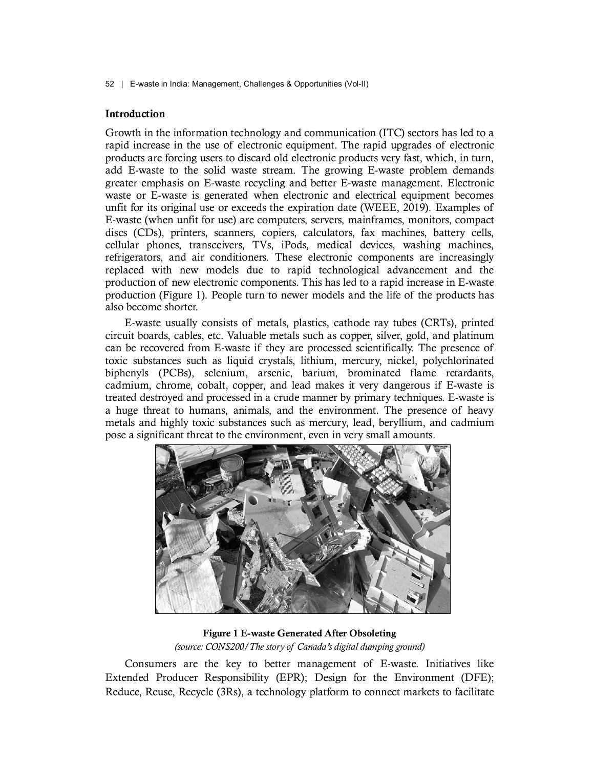# Introduction

Growth in the information technology and communication (ITC) sectors has led to a rapid increase in the use of electronic equipment. The rapid upgrades of electronic products are forcing users to discard old electronic products very fast, which, in turn, add E-waste to the solid waste stream. The growing E-waste problem demands greater emphasis on E-waste recycling and better E-waste management. Electronic waste or E-waste is generated when electronic and electrical equipment becomes unfit for its original use or exceeds the expiration date (WEEE, 2019). Examples of E-waste (when unfit for use) are computers, servers, mainframes, monitors, compact discs (CDs), printers, scanners, copiers, calculators, fax machines, battery cells, cellular phones, transceivers, TVs, iPods, medical devices, washing machines, refrigerators, and air conditioners. These electronic components are increasingly replaced with new models due to rapid technological advancement and the production of new electronic components. This has led to a rapid increase in E-waste production (Figure 1). People turn to newer models and the life of the products has also become shorter.

E-waste usually consists of metals, plastics, cathode ray tubes (CRTs), printed circuit boards, cables, etc. Valuable metals such as copper, silver, gold, and platinum can be recovered from E-waste if they are processed scientifically. The presence of toxic substances such as liquid crystals, lithium, mercury, nickel, polychlorinated biphenyls (PCBs), selenium, arsenic, barium, brominated flame retardants, cadmium, chrome, cobalt, copper, and lead makes it very dangerous if E-waste is treated destroyed and processed in a crude manner by primary techniques. E-waste is a huge threat to humans, animals, and the environment. The presence of heavy metals and highly toxic substances such as mercury, lead, beryllium, and cadmium pose a significant threat to the environment, even in very small amounts.



Figure 1 E-waste Generated After Obsoleting

Consumers are the key to better management of E-waste. Initiatives like Extended Producer Responsibility (EPR); Design for the Environment (DFE); Reduce, Reuse, Recycle (3Rs), a technology platform to connect markets to facilitate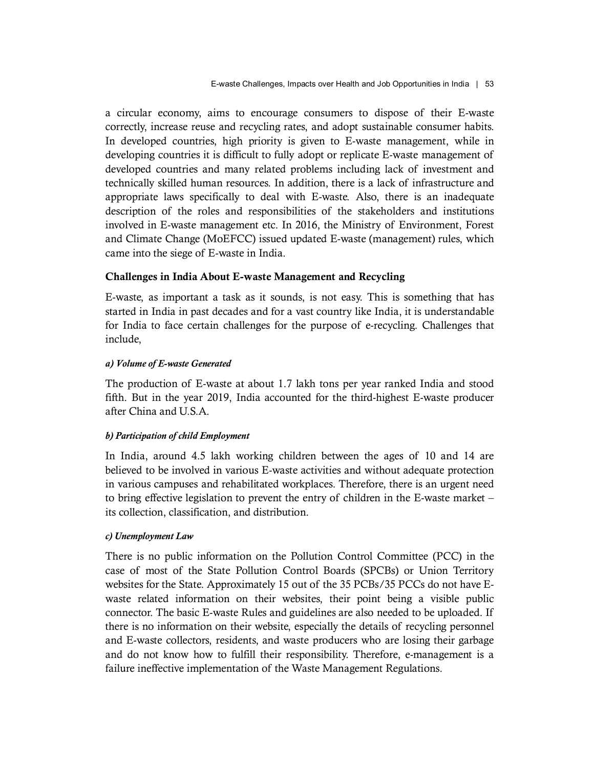a circular economy, aims to encourage consumers to dispose of their E-waste correctly, increase reuse and recycling rates, and adopt sustainable consumer habits. In developed countries, high priority is given to E-waste management, while in developing countries it is difficult to fully adopt or replicate E-waste management of developed countries and many related problems including lack of investment and technically skilled human resources. In addition, there is a lack of infrastructure and appropriate laws specifically to deal with E-waste. Also, there is an inadequate description of the roles and responsibilities of the stakeholders and institutions involved in E-waste management etc. In 2016, the Ministry of Environment, Forest and Climate Change (MoEFCC) issued updated E-waste (management) rules, which came into the siege of E-waste in India.

# Challenges in India About E-waste Management and Recycling

E-waste, as important a task as it sounds, is not easy. This is something that has started in India in past decades and for a vast country like India, it is understandable for India to face certain challenges for the purpose of e-recycling. Challenges that include,

# a) Volume of E-waste Generated

The production of E-waste at about 1.7 lakh tons per year ranked India and stood fifth. But in the year 2019, India accounted for the third-highest E-waste producer after China and U.S.A.

# b) Participation of child Employment

In India, around 4.5 lakh working children between the ages of 10 and 14 are believed to be involved in various E-waste activities and without adequate protection in various campuses and rehabilitated workplaces. Therefore, there is an urgent need to bring effective legislation to prevent the entry of children in the E-waste market – its collection, classification, and distribution.

# c) Unemployment Law

There is no public information on the Pollution Control Committee (PCC) in the case of most of the State Pollution Control Boards (SPCBs) or Union Territory websites for the State. Approximately 15 out of the 35 PCBs/35 PCCs do not have Ewaste related information on their websites, their point being a visible public connector. The basic E-waste Rules and guidelines are also needed to be uploaded. If there is no information on their website, especially the details of recycling personnel and E-waste collectors, residents, and waste producers who are losing their garbage and do not know how to fulfill their responsibility. Therefore, e-management is a failure ineffective implementation of the Waste Management Regulations.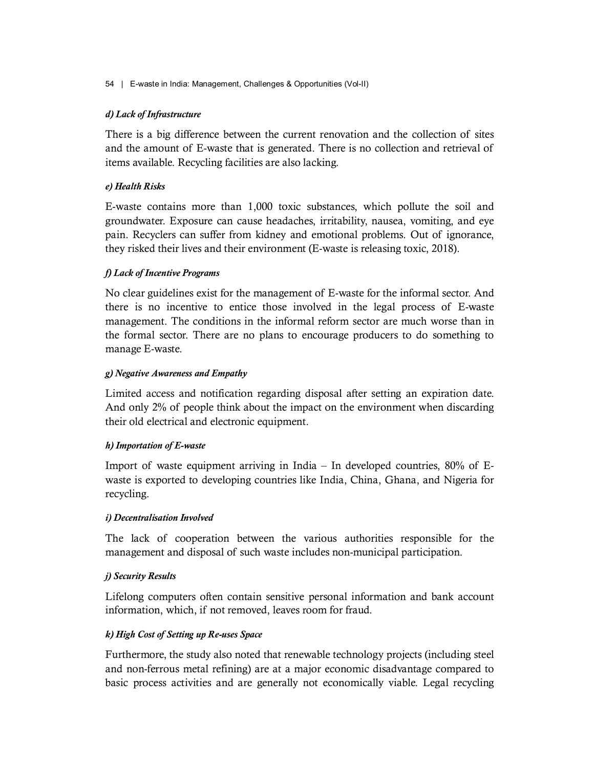# d) Lack of Infrastructure

There is a big difference between the current renovation and the collection of sites and the amount of E-waste that is generated. There is no collection and retrieval of items available. Recycling facilities are also lacking.

# e) Health Risks

E-waste contains more than 1,000 toxic substances, which pollute the soil and groundwater. Exposure can cause headaches, irritability, nausea, vomiting, and eye pain. Recyclers can suffer from kidney and emotional problems. Out of ignorance, they risked their lives and their environment (E-waste is releasing toxic, 2018).

# f) Lack of Incentive Programs

No clear guidelines exist for the management of E-waste for the informal sector. And there is no incentive to entice those involved in the legal process of E-waste management. The conditions in the informal reform sector are much worse than in the formal sector. There are no plans to encourage producers to do something to manage E-waste.

# g) Negative Awareness and Empathy

Limited access and notification regarding disposal after setting an expiration date. And only 2% of people think about the impact on the environment when discarding their old electrical and electronic equipment.

# h) Importation of E-waste

Import of waste equipment arriving in India – In developed countries, 80% of Ewaste is exported to developing countries like India, China, Ghana, and Nigeria for recycling.

# i) Decentralisation Involved

The lack of cooperation between the various authorities responsible for the management and disposal of such waste includes non-municipal participation.

# j) Security Results

Lifelong computers often contain sensitive personal information and bank account information, which, if not removed, leaves room for fraud.

# k) High Cost of Setting up Re-uses Space

Furthermore, the study also noted that renewable technology projects (including steel and non-ferrous metal refining) are at a major economic disadvantage compared to basic process activities and are generally not economically viable. Legal recycling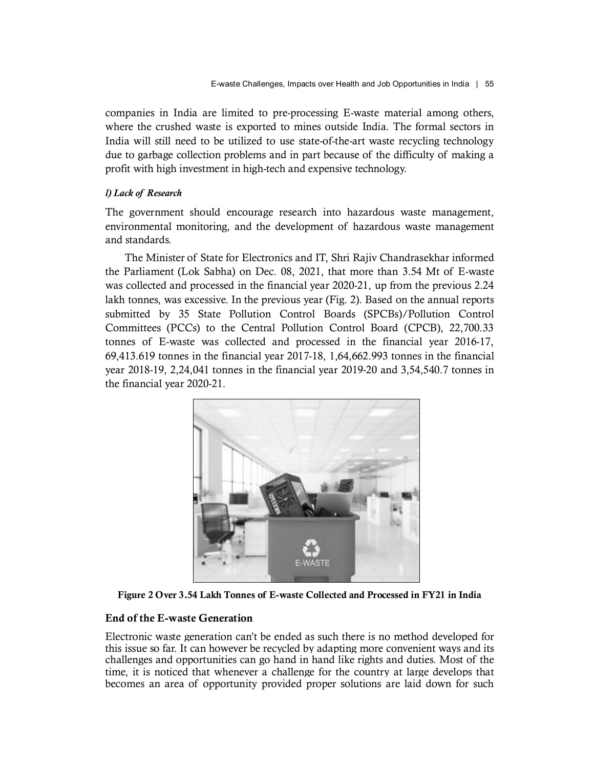companies in India are limited to pre-processing E-waste material among others, where the crushed waste is exported to mines outside India. The formal sectors in India will still need to be utilized to use state-of-the-art waste recycling technology due to garbage collection problems and in part because of the difficulty of making a profit with high investment in high-tech and expensive technology. E-waste Challenges, Impacts over Health and Job Opportunities in Indon<br>
E-waste Challenges, Impacts over Health and Job Opportunities in Ind<br>
where the crushed waste is exported to mines outside India. The formal sec<br>
Indi

The government should encourage research into hazardous waste management, environmental monitoring, and the development of hazardous waste management and standards.

The Minister of State for Electronics and IT, Shri Rajiv Chandrasekhar informed the Parliament (Lok Sabha) on Dec. 08, 2021, that more than 3.54 Mt of E-waste was collected and processed in the financial year 2020-21, up from the previous 2.24 lakh tonnes, was excessive. In the previous year (Fig. 2). Based on the annual reports submitted by 35 State Pollution Control Boards (SPCBs)/Pollution Control Committees (PCCs) to the Central Pollution Control Board (CPCB), 22,700.33 tonnes of E-waste was collected and processed in the financial year 2016-17, 69,413.619 tonnes in the financial year 2017-18, 1,64,662.993 tonnes in the financial year 2018-19, 2,24,041 tonnes in the financial year 2019-20 and 3,54,540.7 tonnes in the financial year 2020-21.



Figure 2 Over 3.54 Lakh Tonnes of E-waste Collected and Processed in FY21 in India

# End of the E-waste Generation

Electronic waste generation can't be ended as such there is no method developed for this issue so far. It can however be recycled by adapting more convenient ways and its challenges and opportunities can go hand in hand like rights and duties. Most of the time, it is noticed that whenever a challenge for the country at large develops that becomes an area of opportunity provided proper solutions are laid down for such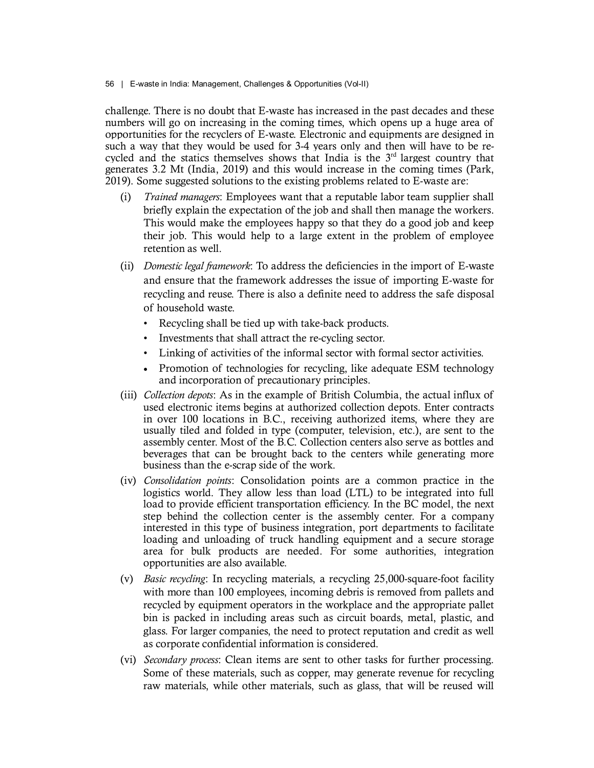challenge. There is no doubt that E-waste has increased in the past decades and these numbers will go on increasing in the coming times, which opens up a huge area of opportunities for the recyclers of E-waste. Electronic and equipments are designed in such a way that they would be used for 3-4 years only and then will have to be recycled and the statics themselves shows that India is the  $3<sup>rd</sup>$  largest country that generates 3.2 Mt (India, 2019) and this would increase in the coming times (Park, 2019). Some suggested solutions to the existing problems related to E-waste are:

- (i) Trained managers: Employees want that a reputable labor team supplier shall briefly explain the expectation of the job and shall then manage the workers. This would make the employees happy so that they do a good job and keep their job. This would help to a large extent in the problem of employee retention as well.
- (ii) Domestic legal framework: To address the deficiencies in the import of E-waste and ensure that the framework addresses the issue of importing E-waste for recycling and reuse. There is also a definite need to address the safe disposal
	- of household waste.<br>• Recycling shall be tied up with take-back products.
	- Investments that shall attract the re-cycling sector.
	- Linking of activities of the informal sector with formal sector activities.
	- Promotion of technologies for recycling, like adequate ESM technology and incorporation of precautionary principles.
- (iii) Collection depots: As in the example of British Columbia, the actual influx of used electronic items begins at authorized collection depots. Enter contracts in over 100 locations in B.C., receiving authorized items, where they are usually tiled and folded in type (computer, television, etc.), are sent to the assembly center. Most of the B.C. Collection centers also serve as bottles and beverages that can be brought back to the centers while generating more business than the e-scrap side of the work.
- (iv) Consolidation points: Consolidation points are a common practice in the logistics world. They allow less than load (LTL) to be integrated into full load to provide efficient transportation efficiency. In the BC model, the next step behind the collection center is the assembly center. For a company interested in this type of business integration, port departments to facilitate loading and unloading of truck handling equipment and a secure storage area for bulk products are needed. For some authorities, integration opportunities are also available.
- (v) Basic recycling: In recycling materials, a recycling 25,000-square-foot facility with more than 100 employees, incoming debris is removed from pallets and recycled by equipment operators in the workplace and the appropriate pallet bin is packed in including areas such as circuit boards, metal, plastic, and glass. For larger companies, the need to protect reputation and credit as well as corporate confidential information is considered.
- (vi) *Secondary process*: Clean items are sent to other tasks for further processing. Some of these materials, such as copper, may generate revenue for recycling raw materials, while other materials, such as glass, that will be reused will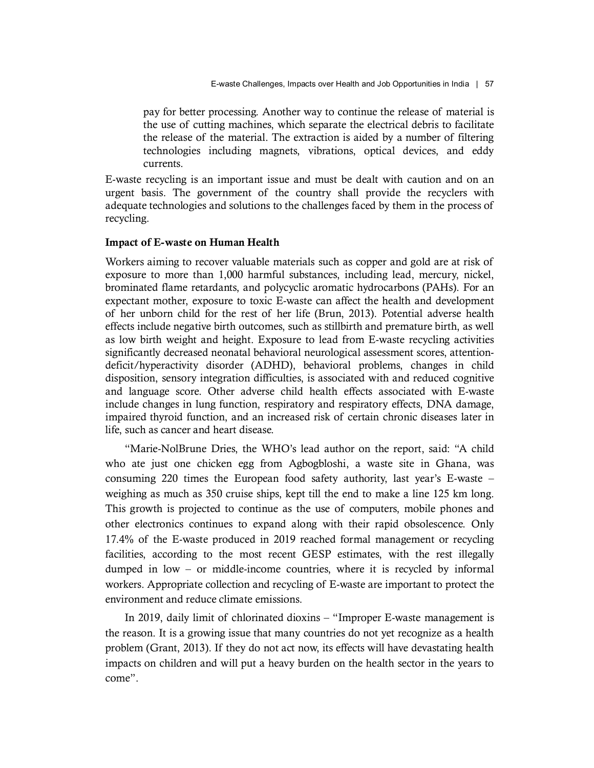pay for better processing. Another way to continue the release of material is the use of cutting machines, which separate the electrical debris to facilitate the release of the material. The extraction is aided by a number of filtering technologies including magnets, vibrations, optical devices, and eddy currents.

E-waste recycling is an important issue and must be dealt with caution and on an urgent basis. The government of the country shall provide the recyclers with adequate technologies and solutions to the challenges faced by them in the process of recycling.

# Impact of E-waste on Human Health

Workers aiming to recover valuable materials such as copper and gold are at risk of exposure to more than 1,000 harmful substances, including lead, mercury, nickel, brominated flame retardants, and polycyclic aromatic hydrocarbons (PAHs). For an expectant mother, exposure to toxic E-waste can affect the health and development of her unborn child for the rest of her life (Brun, 2013). Potential adverse health effects include negative birth outcomes, such as stillbirth and premature birth, as well as low birth weight and height. Exposure to lead from E-waste recycling activities significantly decreased neonatal behavioral neurological assessment scores, attentiondeficit/hyperactivity disorder (ADHD), behavioral problems, changes in child disposition, sensory integration difficulties, is associated with and reduced cognitive and language score. Other adverse child health effects associated with E-waste include changes in lung function, respiratory and respiratory effects, DNA damage, impaired thyroid function, and an increased risk of certain chronic diseases later in life, such as cancer and heart disease.

"Marie-NolBrune Dries, the WHO's lead author on the report, said: "A child who ate just one chicken egg from Agbogbloshi, a waste site in Ghana, was consuming 220 times the European food safety authority, last year's E-waste – weighing as much as 350 cruise ships, kept till the end to make a line 125 km long. This growth is projected to continue as the use of computers, mobile phones and other electronics continues to expand along with their rapid obsolescence. Only 17.4% of the E-waste produced in 2019 reached formal management or recycling facilities, according to the most recent GESP estimates, with the rest illegally dumped in low – or middle-income countries, where it is recycled by informal workers. Appropriate collection and recycling of E-waste are important to protect the environment and reduce climate emissions.

In 2019, daily limit of chlorinated dioxins – "Improper E-waste management is the reason. It is a growing issue that many countries do not yet recognize as a health problem (Grant, 2013). If they do not act now, its effects will have devastating health impacts on children and will put a heavy burden on the health sector in the years to come".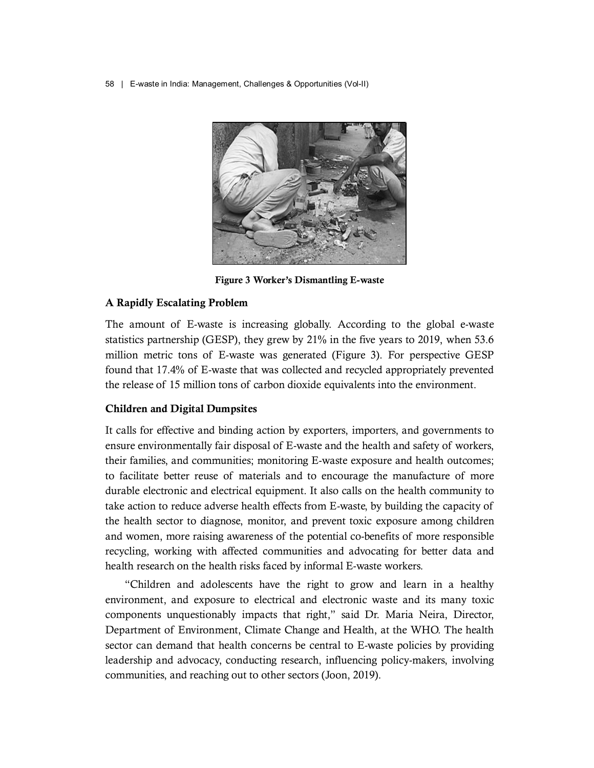

Figure 3 Worker's Dismantling E-waste

# A Rapidly Escalating Problem

The amount of E-waste is increasing globally. According to the global e-waste statistics partnership (GESP), they grew by 21% in the five years to 2019, when 53.6 million metric tons of E-waste was generated (Figure 3). For perspective GESP found that 17.4% of E-waste that was collected and recycled appropriately prevented the release of 15 million tons of carbon dioxide equivalents into the environment.

# Children and Digital Dumpsites

It calls for effective and binding action by exporters, importers, and governments to ensure environmentally fair disposal of E-waste and the health and safety of workers, their families, and communities; monitoring E-waste exposure and health outcomes; to facilitate better reuse of materials and to encourage the manufacture of more durable electronic and electrical equipment. It also calls on the health community to take action to reduce adverse health effects from E-waste, by building the capacity of the health sector to diagnose, monitor, and prevent toxic exposure among children and women, more raising awareness of the potential co-benefits of more responsible recycling, working with affected communities and advocating for better data and health research on the health risks faced by informal E-waste workers.

"Children and adolescents have the right to grow and learn in a healthy environment, and exposure to electrical and electronic waste and its many toxic components unquestionably impacts that right," said Dr. Maria Neira, Director, Department of Environment, Climate Change and Health, at the WHO. The health sector can demand that health concerns be central to E-waste policies by providing leadership and advocacy, conducting research, influencing policy-makers, involving communities, and reaching out to other sectors (Joon, 2019).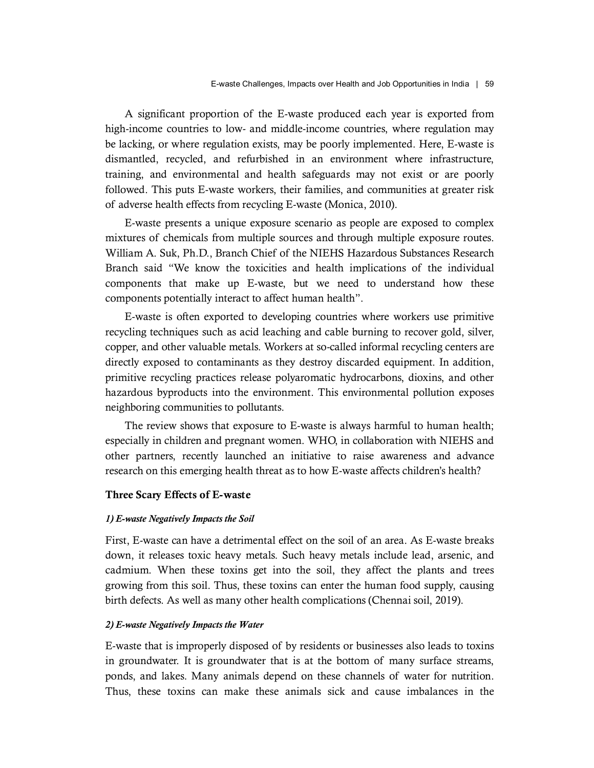A significant proportion of the E-waste produced each year is exported from high-income countries to low- and middle-income countries, where regulation may be lacking, or where regulation exists, may be poorly implemented. Here, E-waste is dismantled, recycled, and refurbished in an environment where infrastructure, training, and environmental and health safeguards may not exist or are poorly followed. This puts E-waste workers, their families, and communities at greater risk of adverse health effects from recycling E-waste (Monica, 2010).

E-waste presents a unique exposure scenario as people are exposed to complex mixtures of chemicals from multiple sources and through multiple exposure routes. William A. Suk, Ph.D., Branch Chief of the NIEHS Hazardous Substances Research Branch said "We know the toxicities and health implications of the individual components that make up E-waste, but we need to understand how these components potentially interact to affect human health".

E-waste is often exported to developing countries where workers use primitive recycling techniques such as acid leaching and cable burning to recover gold, silver, copper, and other valuable metals. Workers at so-called informal recycling centers are directly exposed to contaminants as they destroy discarded equipment. In addition, primitive recycling practices release polyaromatic hydrocarbons, dioxins, and other hazardous byproducts into the environment. This environmental pollution exposes neighboring communities to pollutants.

The review shows that exposure to E-waste is always harmful to human health; especially in children and pregnant women. WHO, in collaboration with NIEHS and other partners, recently launched an initiative to raise awareness and advance research on this emerging health threat as to how E-waste affects children's health?

# Three Scary Effects of E-waste

## 1) E-waste Negatively Impacts the Soil

First, E-waste can have a detrimental effect on the soil of an area. As E-waste breaks down, it releases toxic heavy metals. Such heavy metals include lead, arsenic, and cadmium. When these toxins get into the soil, they affect the plants and trees growing from this soil. Thus, these toxins can enter the human food supply, causing birth defects. As well as many other health complications (Chennai soil, 2019).

# 2) E-waste Negatively Impacts the Water

E-waste that is improperly disposed of by residents or businesses also leads to toxins in groundwater. It is groundwater that is at the bottom of many surface streams, ponds, and lakes. Many animals depend on these channels of water for nutrition. Thus, these toxins can make these animals sick and cause imbalances in the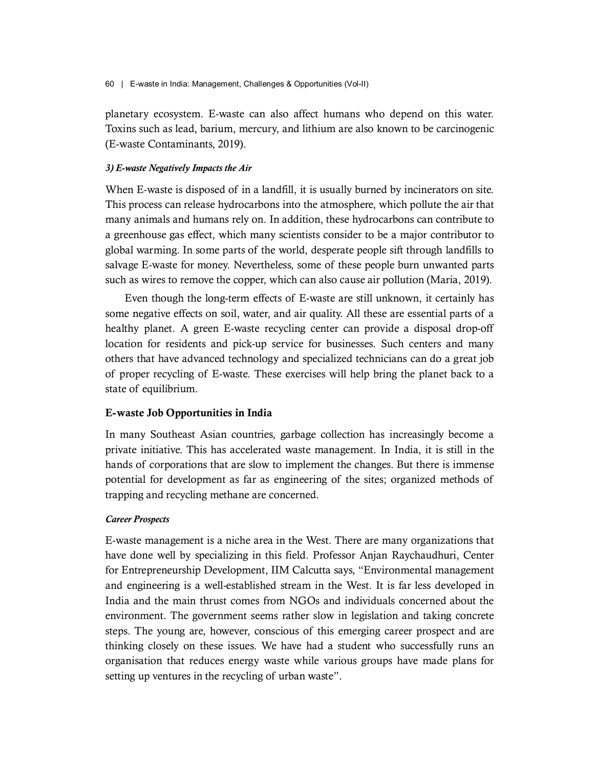planetary ecosystem. E-waste can also affect humans who depend on this water. Toxins such as lead, barium, mercury, and lithium are also known to be carcinogenic (E-waste Contaminants, 2019).

# 3) E-waste Negatively Impacts the Air

When E-waste is disposed of in a landfill, it is usually burned by incinerators on site. This process can release hydrocarbons into the atmosphere, which pollute the air that many animals and humans rely on. In addition, these hydrocarbons can contribute to a greenhouse gas effect, which many scientists consider to be a major contributor to global warming. In some parts of the world, desperate people sift through landfills to salvage E-waste for money. Nevertheless, some of these people burn unwanted parts such as wires to remove the copper, which can also cause air pollution (Maria, 2019).

Even though the long-term effects of E-waste are still unknown, it certainly has some negative effects on soil, water, and air quality. All these are essential parts of a healthy planet. A green E-waste recycling center can provide a disposal drop-off location for residents and pick-up service for businesses. Such centers and many others that have advanced technology and specialized technicians can do a great job of proper recycling of E-waste. These exercises will help bring the planet back to a state of equilibrium.

# E-waste Job Opportunities in India

In many Southeast Asian countries, garbage collection has increasingly become a private initiative. This has accelerated waste management. In India, it is still in the hands of corporations that are slow to implement the changes. But there is immense potential for development as far as engineering of the sites; organized methods of trapping and recycling methane are concerned.

## Career Prospects

E-waste management is a niche area in the West. There are many organizations that have done well by specializing in this field. Professor Anjan Raychaudhuri, Center for Entrepreneurship Development, IIM Calcutta says, "Environmental management and engineering is a well-established stream in the West. It is far less developed in India and the main thrust comes from NGOs and individuals concerned about the environment. The government seems rather slow in legislation and taking concrete steps. The young are, however, conscious of this emerging career prospect and are thinking closely on these issues. We have had a student who successfully runs an organisation that reduces energy waste while various groups have made plans for setting up ventures in the recycling of urban waste".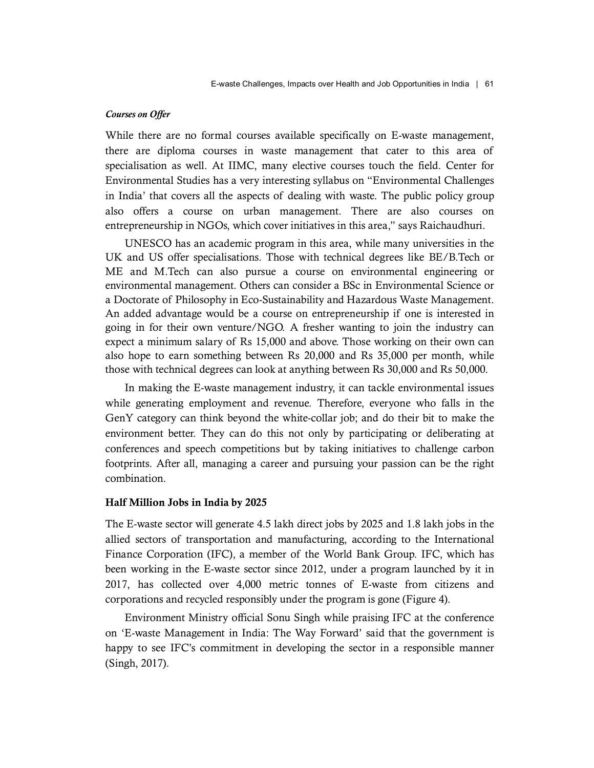#### Courses on Offer

While there are no formal courses available specifically on E-waste management, there are diploma courses in waste management that cater to this area of specialisation as well. At IIMC, many elective courses touch the field. Center for Environmental Studies has a very interesting syllabus on "Environmental Challenges in India' that covers all the aspects of dealing with waste. The public policy group also offers a course on urban management. There are also courses on entrepreneurship in NGOs, which cover initiatives in this area," says Raichaudhuri.

UNESCO has an academic program in this area, while many universities in the UK and US offer specialisations. Those with technical degrees like BE/B.Tech or ME and M.Tech can also pursue a course on environmental engineering or environmental management. Others can consider a BSc in Environmental Science or a Doctorate of Philosophy in Eco-Sustainability and Hazardous Waste Management. An added advantage would be a course on entrepreneurship if one is interested in going in for their own venture/NGO. A fresher wanting to join the industry can expect a minimum salary of Rs 15,000 and above. Those working on their own can also hope to earn something between Rs 20,000 and Rs 35,000 per month, while those with technical degrees can look at anything between Rs 30,000 and Rs 50,000.

In making the E-waste management industry, it can tackle environmental issues while generating employment and revenue. Therefore, everyone who falls in the GenY category can think beyond the white-collar job; and do their bit to make the environment better. They can do this not only by participating or deliberating at conferences and speech competitions but by taking initiatives to challenge carbon footprints. After all, managing a career and pursuing your passion can be the right combination.

# Half Million Jobs in India by 2025

The E-waste sector will generate 4.5 lakh direct jobs by 2025 and 1.8 lakh jobs in the allied sectors of transportation and manufacturing, according to the International Finance Corporation (IFC), a member of the World Bank Group. IFC, which has been working in the E-waste sector since 2012, under a program launched by it in 2017, has collected over 4,000 metric tonnes of E-waste from citizens and corporations and recycled responsibly under the program is gone (Figure 4).

Environment Ministry official Sonu Singh while praising IFC at the conference on 'E-waste Management in India: The Way Forward' said that the government is happy to see IFC's commitment in developing the sector in a responsible manner (Singh, 2017).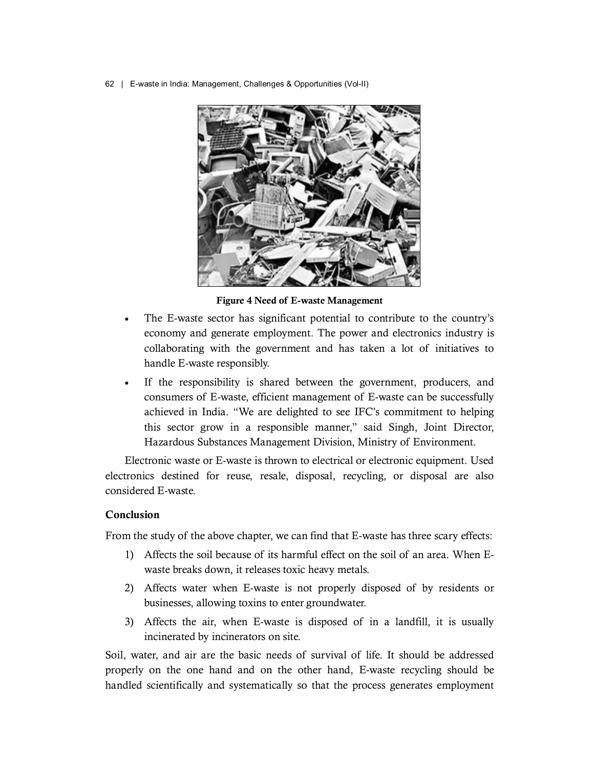

Figure 4 Need of E-waste Management

- The E-waste sector has significant potential to contribute to the country's economy and generate employment. The power and electronics industry is collaborating with the government and has taken a lot of initiatives to handle E-waste responsibly.
- If the responsibility is shared between the government, producers, and consumers of E-waste, efficient management of E-waste can be successfully achieved in India. "We are delighted to see IFC's commitment to helping this sector grow in a responsible manner," said Singh, Joint Director, Hazardous Substances Management Division, Ministry of Environment.

Electronic waste or E-waste is thrown to electrical or electronic equipment. Used electronics destined for reuse, resale, disposal, recycling, or disposal are also considered E-waste.

# Conclusion

From the study of the above chapter, we can find that E-waste has three scary effects:

- 1) Affects the soil because of its harmful effect on the soil of an area. When Ewaste breaks down, it releases toxic heavy metals.
- 2) Affects water when E-waste is not properly disposed of by residents or businesses, allowing toxins to enter groundwater.
- 3) Affects the air, when E-waste is disposed of in a landfill, it is usually incinerated by incinerators on site.

Soil, water, and air are the basic needs of survival of life. It should be addressed properly on the one hand and on the other hand, E-waste recycling should be handled scientifically and systematically so that the process generates employment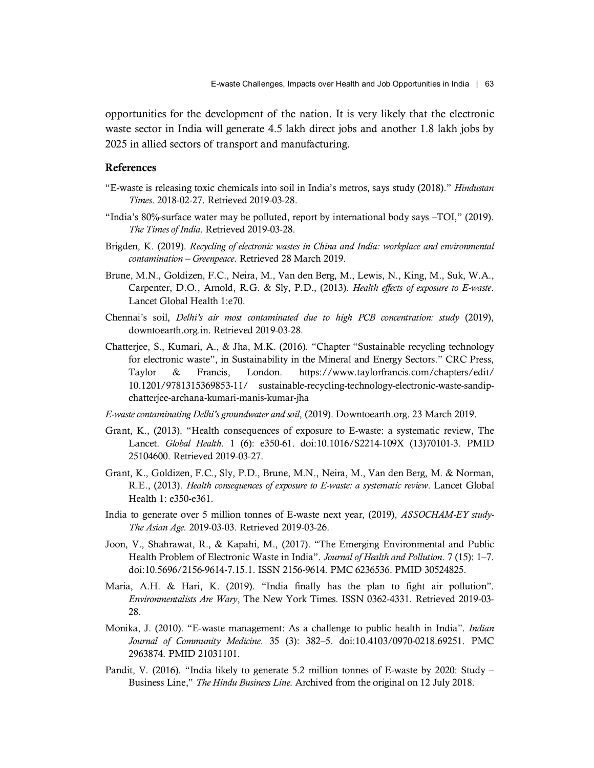opportunities for the development of the nation. It is very likely that the electronic waste sector in India will generate 4.5 lakh direct jobs and another 1.8 lakh jobs by 2025 in allied sectors of transport and manufacturing.

#### References

- "E-waste is releasing toxic chemicals into soil in India's metros, says study (2018)." Hindustan Times. 2018-02-27. Retrieved 2019-03-28.
- "India's 80%-surface water may be polluted, report by international body says –TOI," (2019). The Times of India. Retrieved 2019-03-28.
- Brigden, K. (2019). Recycling of electronic wastes in China and India: workplace and environmental contamination – Greenpeace. Retrieved 28 March 2019.
- Brune, M.N., Goldizen, F.C., Neira, M., Van den Berg, M., Lewis, N., King, M., Suk, W.A., Carpenter, D.O., Arnold, R.G. & Sly, P.D., (2013). Health effects of exposure to E-waste.<br>Lancet Global Health 1:e70.
- Chennai's soil, Delhi's air most contaminated due to high PCB concentration: study (2019), downtoearth.org.in. Retrieved 2019-03-28.
- Chatterjee, S., Kumari, A., & Jha, M.K. (2016). "Chapter "Sustainable recycling technology for electronic waste", in Sustainability in the Mineral and Energy Sectors." CRC Press, Taylor & Francis, London. https://www.taylorfrancis.com/chapters/edit/ 10.1201/9781315369853-11/ sustainable-recycling-technology-electronic-waste-sandipchatterjee-archana-kumari-manis-kumar-jha
- E-waste contaminating Delhi's groundwater and soil, (2019). Downtoearth.org. 23 March 2019.
- Grant, K., (2013). "Health consequences of exposure to E-waste: a systematic review, The Lancet. Global Health. 1 (6): e350-61. doi:10.1016/S2214-109X (13)70101-3. PMID 25104600. Retrieved 2019-03-27.
- Grant, K., Goldizen, F.C., Sly, P.D., Brune, M.N., Neira, M., Van den Berg, M. & Norman, R.E., (2013). Health consequences of exposure to E-waste: a systematic review. Lancet Global Health 1: e350-e361.
- India to generate over 5 million tonnes of E-waste next year, (2019), *ASSOCHAM-EY study-*The Asian Age. 2019-03-03. Retrieved 2019-03-26.
- Joon, V., Shahrawat, R., & Kapahi, M., (2017). "The Emerging Environmental and Public Health Problem of Electronic Waste in India". Journal of Health and Pollution. 7 (15): 1–7. doi:10.5696/2156-9614-7.15.1. ISSN 2156-9614. PMC 6236536. PMID 30524825.
- Maria, A.H. & Hari, K. (2019). "India finally has the plan to fight air pollution". Environmentalists Are Wary, The New York Times. ISSN 0362-4331. Retrieved 2019-03- 28.
- Monika, J. (2010). "E-waste management: As a challenge to public health in India". *Indian* Journal of Community Medicine. 35 (3): 382–5. doi:10.4103/0970-0218.69251. PMC 2963874. PMID 21031101.
- Pandit, V. (2016). "India likely to generate 5.2 million tonnes of E-waste by 2020: Study Business Line," The Hindu Business Line. Archived from the original on 12 July 2018.